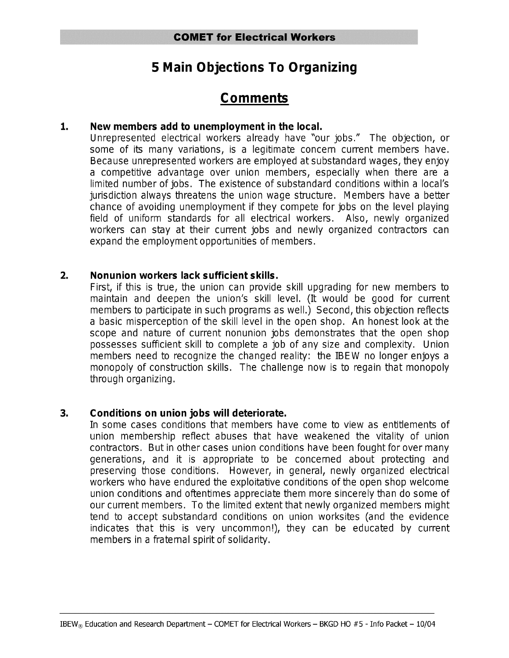# **5 Main Objections To Organizing**

## Comments

#### $1.$ New members add to unemployment in the local.

Unrepresented electrical workers already have "our jobs." The objection, or some of its many variations, is a legitimate concern current members have. Because unrepresented workers are employed at substandard wages, they enjoy a competitive advantage over union members, especially when there are a limited number of jobs. The existence of substandard conditions within a local's jurisdiction always threatens the union wage structure. Members have a better chance of avoiding unemployment if they compete for jobs on the level playing field of uniform standards for all electrical workers. Also, newly organized workers can stay at their current jobs and newly organized contractors can expand the employment opportunities of members.

#### $2.$ Nonunion workers lack sufficient skills.

First, if this is true, the union can provide skill upgrading for new members to maintain and deepen the union's skill level. (It would be good for current members to participate in such programs as well.) Second, this objection reflects a basic misperception of the skill level in the open shop. An honest look at the scope and nature of current nonunion jobs demonstrates that the open shop possesses sufficient skill to complete a job of any size and complexity. Union members need to recognize the changed reality: the IBEW no longer enjoys a monopoly of construction skills. The challenge now is to regain that monopoly through organizing.

#### $3.$ Conditions on union jobs will deteriorate.

In some cases conditions that members have come to view as entitlements of union membership reflect abuses that have weakened the vitality of union contractors. But in other cases union conditions have been fought for over many generations, and it is appropriate to be concerned about protecting and preserving those conditions. However, in general, newly organized electrical workers who have endured the exploitative conditions of the open shop welcome union conditions and oftentimes appreciate them more sincerely than do some of our current members. To the limited extent that newly organized members might tend to accept substandard conditions on union worksites (and the evidence indicates that this is very uncommon!), they can be educated by current members in a fraternal spirit of solidarity.